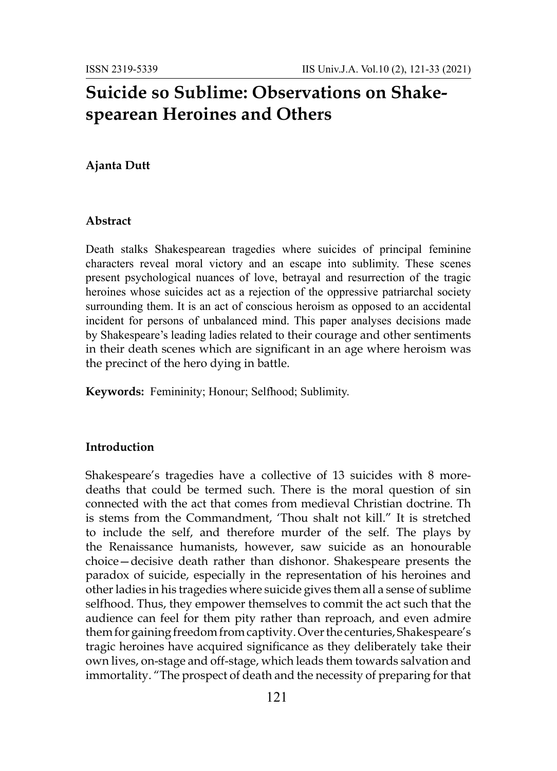# **Suicide so Sublime: Observations on Shakespearean Heroines and Others**

### **Ajanta Dutt**

#### **Abstract**

Death stalks Shakespearean tragedies where suicides of principal feminine characters reveal moral victory and an escape into sublimity. These scenes present psychological nuances of love, betrayal and resurrection of the tragic heroines whose suicides act as a rejection of the oppressive patriarchal society surrounding them. It is an act of conscious heroism as opposed to an accidental incident for persons of unbalanced mind. This paper analyses decisions made by Shakespeare's leading ladies related to their courage and other sentiments in their death scenes which are significant in an age where heroism was the precinct of the hero dying in battle.

**Keywords:** Femininity; Honour; Selfhood; Sublimity.

## **Introduction**

Shakespeare's tragedies have a collective of 13 suicides with 8 moredeaths that could be termed such. There is the moral question of sin connected with the act that comes from medieval Christian doctrine. Th is stems from the Commandment, 'Thou shalt not kill." It is stretched to include the self, and therefore murder of the self. The plays by the Renaissance humanists, however, saw suicide as an honourable choice—decisive death rather than dishonor. Shakespeare presents the paradox of suicide, especially in the representation of his heroines and other ladies in his tragedies where suicide gives them all a sense of sublime selfhood. Thus, they empower themselves to commit the act such that the audience can feel for them pity rather than reproach, and even admire them for gaining freedom from captivity. Over the centuries, Shakespeare's tragic heroines have acquired significance as they deliberately take their own lives, on-stage and off-stage, which leads them towards salvation and immortality. "The prospect of death and the necessity of preparing for that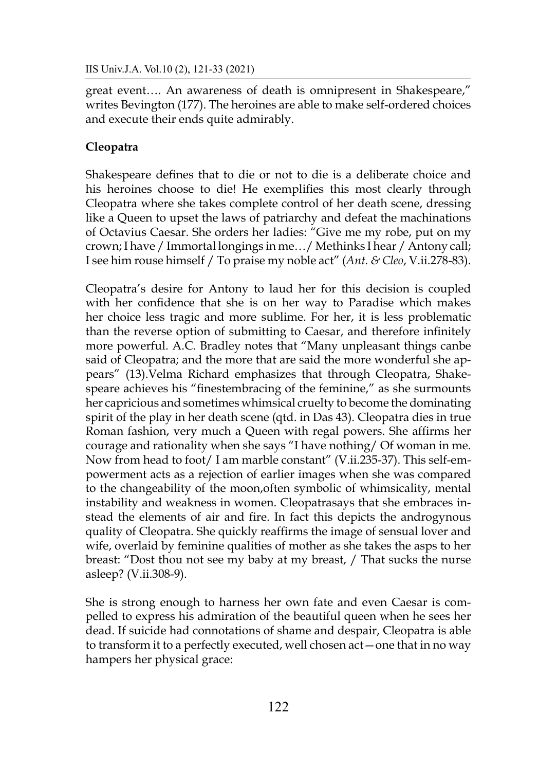great event…. An awareness of death is omnipresent in Shakespeare," writes Bevington (177). The heroines are able to make self-ordered choices and execute their ends quite admirably.

# **Cleopatra**

Shakespeare defines that to die or not to die is a deliberate choice and his heroines choose to die! He exemplifies this most clearly through Cleopatra where she takes complete control of her death scene, dressing like a Queen to upset the laws of patriarchy and defeat the machinations of Octavius Caesar. She orders her ladies: "Give me my robe, put on my crown; I have / Immortal longings in me…/ Methinks I hear / Antony call; I see him rouse himself / To praise my noble act" (*Ant. & Cleo*, V.ii.278-83).

Cleopatra's desire for Antony to laud her for this decision is coupled with her confidence that she is on her way to Paradise which makes her choice less tragic and more sublime. For her, it is less problematic than the reverse option of submitting to Caesar, and therefore infinitely more powerful. A.C. Bradley notes that "Many unpleasant things canbe said of Cleopatra; and the more that are said the more wonderful she appears" (13).Velma Richard emphasizes that through Cleopatra, Shakespeare achieves his "finestembracing of the feminine," as she surmounts her capricious and sometimes whimsical cruelty to become the dominating spirit of the play in her death scene (qtd. in Das 43). Cleopatra dies in true Roman fashion, very much a Queen with regal powers. She affirms her courage and rationality when she says "I have nothing/ Of woman in me. Now from head to foot/ I am marble constant" (V.ii.235-37). This self-empowerment acts as a rejection of earlier images when she was compared to the changeability of the moon,often symbolic of whimsicality, mental instability and weakness in women. Cleopatrasays that she embraces instead the elements of air and fire. In fact this depicts the androgynous quality of Cleopatra. She quickly reaffirms the image of sensual lover and wife, overlaid by feminine qualities of mother as she takes the asps to her breast: "Dost thou not see my baby at my breast, / That sucks the nurse asleep? (V.ii.308-9).

She is strong enough to harness her own fate and even Caesar is compelled to express his admiration of the beautiful queen when he sees her dead. If suicide had connotations of shame and despair, Cleopatra is able to transform it to a perfectly executed, well chosen act—one that in no way hampers her physical grace: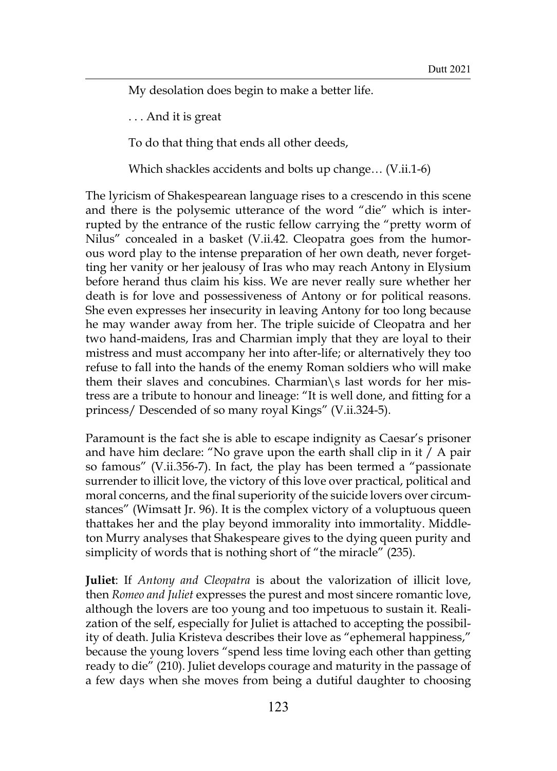My desolation does begin to make a better life.

. . . And it is great

To do that thing that ends all other deeds,

Which shackles accidents and bolts up change… (V.ii.1-6)

The lyricism of Shakespearean language rises to a crescendo in this scene and there is the polysemic utterance of the word "die" which is interrupted by the entrance of the rustic fellow carrying the "pretty worm of Nilus" concealed in a basket (V.ii.42. Cleopatra goes from the humorous word play to the intense preparation of her own death, never forgetting her vanity or her jealousy of Iras who may reach Antony in Elysium before herand thus claim his kiss. We are never really sure whether her death is for love and possessiveness of Antony or for political reasons. She even expresses her insecurity in leaving Antony for too long because he may wander away from her. The triple suicide of Cleopatra and her two hand-maidens, Iras and Charmian imply that they are loyal to their mistress and must accompany her into after-life; or alternatively they too refuse to fall into the hands of the enemy Roman soldiers who will make them their slaves and concubines. Charmian\s last words for her mistress are a tribute to honour and lineage: "It is well done, and fitting for a princess/ Descended of so many royal Kings" (V.ii.324-5).

Paramount is the fact she is able to escape indignity as Caesar's prisoner and have him declare: "No grave upon the earth shall clip in it / A pair so famous" (V.ii.356-7). In fact, the play has been termed a "passionate surrender to illicit love, the victory of this love over practical, political and moral concerns, and the final superiority of the suicide lovers over circumstances" (Wimsatt Jr. 96). It is the complex victory of a voluptuous queen thattakes her and the play beyond immorality into immortality. Middleton Murry analyses that Shakespeare gives to the dying queen purity and simplicity of words that is nothing short of "the miracle" (235).

**Juliet**: If *Antony and Cleopatra* is about the valorization of illicit love, then *Romeo and Juliet* expresses the purest and most sincere romantic love, although the lovers are too young and too impetuous to sustain it. Realization of the self, especially for Juliet is attached to accepting the possibility of death. Julia Kristeva describes their love as "ephemeral happiness," because the young lovers "spend less time loving each other than getting ready to die" (210). Juliet develops courage and maturity in the passage of a few days when she moves from being a dutiful daughter to choosing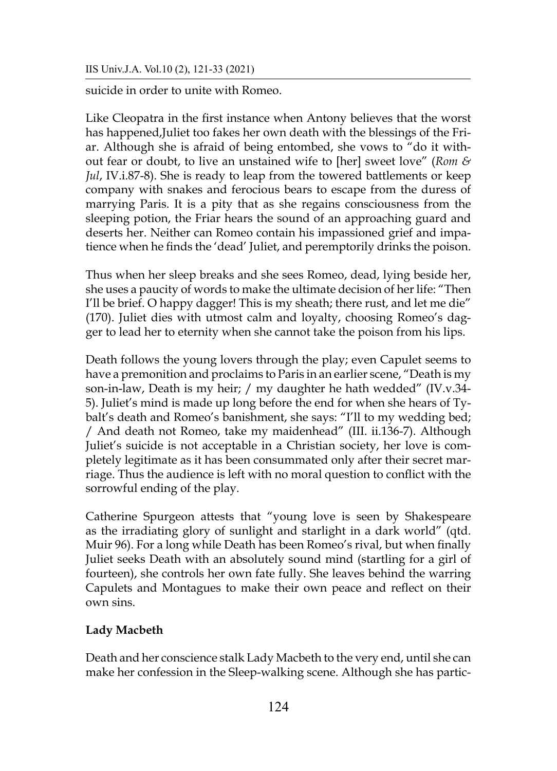suicide in order to unite with Romeo.

Like Cleopatra in the first instance when Antony believes that the worst has happened,Juliet too fakes her own death with the blessings of the Friar. Although she is afraid of being entombed, she vows to "do it without fear or doubt, to live an unstained wife to [her] sweet love" (*Rom & Jul*, IV.i.87-8). She is ready to leap from the towered battlements or keep company with snakes and ferocious bears to escape from the duress of marrying Paris. It is a pity that as she regains consciousness from the sleeping potion, the Friar hears the sound of an approaching guard and deserts her. Neither can Romeo contain his impassioned grief and impatience when he finds the 'dead' Juliet, and peremptorily drinks the poison.

Thus when her sleep breaks and she sees Romeo, dead, lying beside her, she uses a paucity of words to make the ultimate decision of her life: "Then I'll be brief. O happy dagger! This is my sheath; there rust, and let me die" (170). Juliet dies with utmost calm and loyalty, choosing Romeo's dagger to lead her to eternity when she cannot take the poison from his lips.

Death follows the young lovers through the play; even Capulet seems to have a premonition and proclaims to Paris in an earlier scene, "Death is my son-in-law, Death is my heir; / my daughter he hath wedded" (IV.v.34- 5). Juliet's mind is made up long before the end for when she hears of Tybalt's death and Romeo's banishment, she says: "I'll to my wedding bed; / And death not Romeo, take my maidenhead" (III. ii.136-7). Although Juliet's suicide is not acceptable in a Christian society, her love is completely legitimate as it has been consummated only after their secret marriage. Thus the audience is left with no moral question to conflict with the sorrowful ending of the play.

Catherine Spurgeon attests that "young love is seen by Shakespeare as the irradiating glory of sunlight and starlight in a dark world" (qtd. Muir 96). For a long while Death has been Romeo's rival, but when finally Juliet seeks Death with an absolutely sound mind (startling for a girl of fourteen), she controls her own fate fully. She leaves behind the warring Capulets and Montagues to make their own peace and reflect on their own sins.

# **Lady Macbeth**

Death and her conscience stalk Lady Macbeth to the very end, until she can make her confession in the Sleep-walking scene. Although she has partic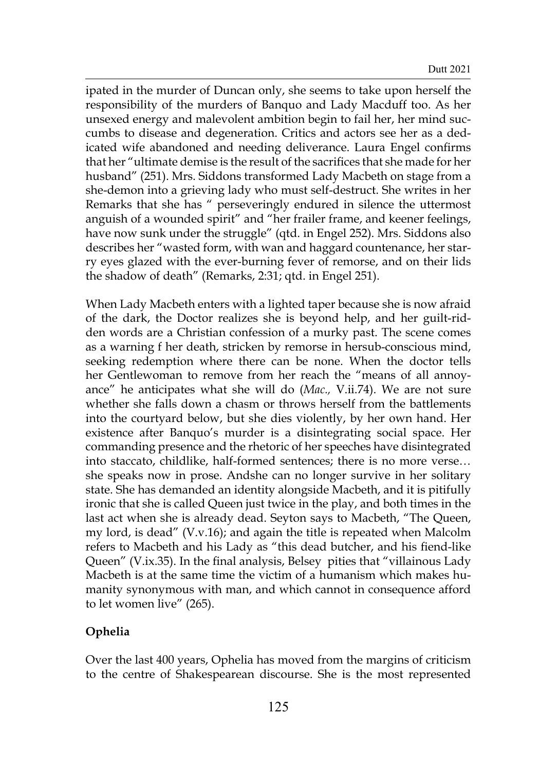ipated in the murder of Duncan only, she seems to take upon herself the responsibility of the murders of Banquo and Lady Macduff too. As her unsexed energy and malevolent ambition begin to fail her, her mind succumbs to disease and degeneration. Critics and actors see her as a dedicated wife abandoned and needing deliverance. Laura Engel confirms that her "ultimate demise is the result of the sacrifices that she made for her husband" (251). Mrs. Siddons transformed Lady Macbeth on stage from a she-demon into a grieving lady who must self-destruct. She writes in her Remarks that she has " perseveringly endured in silence the uttermost anguish of a wounded spirit" and "her frailer frame, and keener feelings, have now sunk under the struggle" (qtd. in Engel 252). Mrs. Siddons also describes her "wasted form, with wan and haggard countenance, her starry eyes glazed with the ever-burning fever of remorse, and on their lids the shadow of death" (Remarks, 2:31; qtd. in Engel 251).

When Lady Macbeth enters with a lighted taper because she is now afraid of the dark, the Doctor realizes she is beyond help, and her guilt-ridden words are a Christian confession of a murky past. The scene comes as a warning f her death, stricken by remorse in hersub-conscious mind, seeking redemption where there can be none. When the doctor tells her Gentlewoman to remove from her reach the "means of all annoyance" he anticipates what she will do (*Mac.,* V.ii.74). We are not sure whether she falls down a chasm or throws herself from the battlements into the courtyard below, but she dies violently, by her own hand. Her existence after Banquo's murder is a disintegrating social space. Her commanding presence and the rhetoric of her speeches have disintegrated into staccato, childlike, half-formed sentences; there is no more verse… she speaks now in prose. Andshe can no longer survive in her solitary state. She has demanded an identity alongside Macbeth, and it is pitifully ironic that she is called Queen just twice in the play, and both times in the last act when she is already dead. Seyton says to Macbeth, "The Queen, my lord, is dead" (V.v.16); and again the title is repeated when Malcolm refers to Macbeth and his Lady as "this dead butcher, and his fiend-like Queen" (V.ix.35). In the final analysis, Belsey pities that "villainous Lady Macbeth is at the same time the victim of a humanism which makes humanity synonymous with man, and which cannot in consequence afford to let women live" (265).

### **Ophelia**

Over the last 400 years, Ophelia has moved from the margins of criticism to the centre of Shakespearean discourse. She is the most represented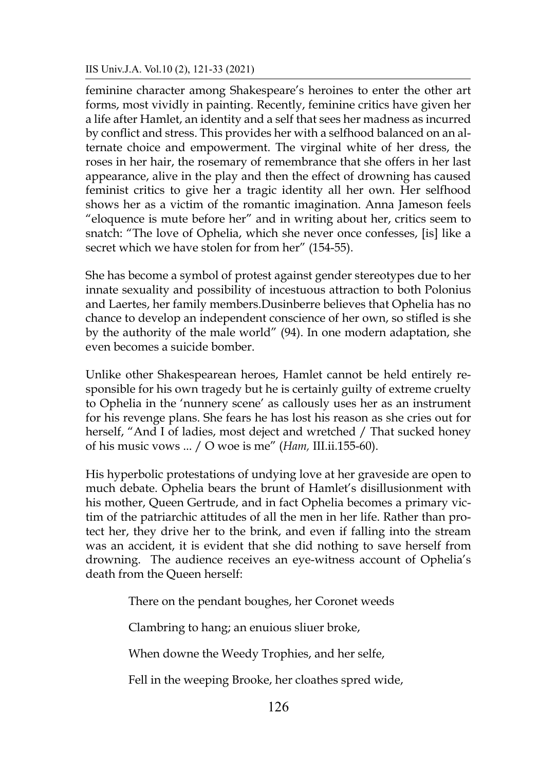feminine character among Shakespeare's heroines to enter the other art forms, most vividly in painting. Recently, feminine critics have given her a life after Hamlet, an identity and a self that sees her madness as incurred by conflict and stress. This provides her with a selfhood balanced on an alternate choice and empowerment. The virginal white of her dress, the roses in her hair, the rosemary of remembrance that she offers in her last appearance, alive in the play and then the effect of drowning has caused feminist critics to give her a tragic identity all her own. Her selfhood shows her as a victim of the romantic imagination. Anna Jameson feels "eloquence is mute before her" and in writing about her, critics seem to snatch: "The love of Ophelia, which she never once confesses, [is] like a secret which we have stolen for from her" (154-55).

She has become a symbol of protest against gender stereotypes due to her innate sexuality and possibility of incestuous attraction to both Polonius and Laertes, her family members.Dusinberre believes that Ophelia has no chance to develop an independent conscience of her own, so stifled is she by the authority of the male world" (94). In one modern adaptation, she even becomes a suicide bomber.

Unlike other Shakespearean heroes, Hamlet cannot be held entirely responsible for his own tragedy but he is certainly guilty of extreme cruelty to Ophelia in the 'nunnery scene' as callously uses her as an instrument for his revenge plans. She fears he has lost his reason as she cries out for herself, "And I of ladies, most deject and wretched / That sucked honey of his music vows ... / O woe is me" (*Ham,* III.ii.155-60).

His hyperbolic protestations of undying love at her graveside are open to much debate. Ophelia bears the brunt of Hamlet's disillusionment with his mother, Queen Gertrude, and in fact Ophelia becomes a primary victim of the patriarchic attitudes of all the men in her life. Rather than protect her, they drive her to the brink, and even if falling into the stream was an accident, it is evident that she did nothing to save herself from drowning. The audience receives an eye-witness account of Ophelia's death from the Queen herself:

There on the pendant boughes, her Coronet weeds

Clambring to hang; an enuious sliuer broke,

When downe the Weedy Trophies, and her selfe,

Fell in the weeping Brooke, her cloathes spred wide,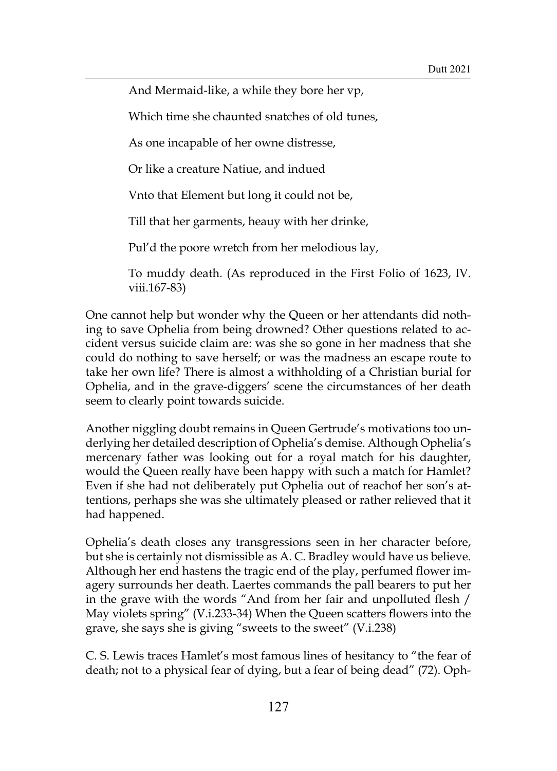And Mermaid-like, a while they bore her vp,

Which time she chaunted snatches of old tunes,

As one incapable of her owne distresse,

Or like a creature Natiue, and indued

Vnto that Element but long it could not be,

Till that her garments, heauy with her drinke,

Pul'd the poore wretch from her melodious lay,

To muddy death. (As reproduced in the First Folio of 1623, IV. viii.167-83)

One cannot help but wonder why the Queen or her attendants did nothing to save Ophelia from being drowned? Other questions related to accident versus suicide claim are: was she so gone in her madness that she could do nothing to save herself; or was the madness an escape route to take her own life? There is almost a withholding of a Christian burial for Ophelia, and in the grave-diggers' scene the circumstances of her death seem to clearly point towards suicide.

Another niggling doubt remains in Queen Gertrude's motivations too underlying her detailed description of Ophelia's demise. Although Ophelia's mercenary father was looking out for a royal match for his daughter, would the Queen really have been happy with such a match for Hamlet? Even if she had not deliberately put Ophelia out of reachof her son's attentions, perhaps she was she ultimately pleased or rather relieved that it had happened.

Ophelia's death closes any transgressions seen in her character before, but she is certainly not dismissible as A. C. Bradley would have us believe. Although her end hastens the tragic end of the play, perfumed flower imagery surrounds her death. Laertes commands the pall bearers to put her in the grave with the words "And from her fair and unpolluted flesh / May violets spring" (V.i.233-34) When the Queen scatters flowers into the grave, she says she is giving "sweets to the sweet" (V.i.238)

C. S. Lewis traces Hamlet's most famous lines of hesitancy to "the fear of death; not to a physical fear of dying, but a fear of being dead" (72). Oph-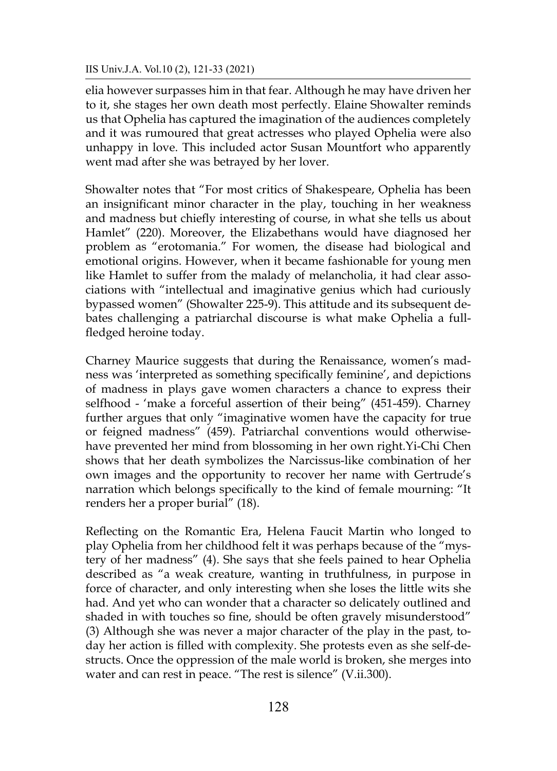elia however surpasses him in that fear. Although he may have driven her to it, she stages her own death most perfectly. Elaine Showalter reminds us that Ophelia has captured the imagination of the audiences completely and it was rumoured that great actresses who played Ophelia were also unhappy in love. This included actor Susan Mountfort who apparently went mad after she was betrayed by her lover.

Showalter notes that "For most critics of Shakespeare, Ophelia has been an insignificant minor character in the play, touching in her weakness and madness but chiefly interesting of course, in what she tells us about Hamlet" (220). Moreover, the Elizabethans would have diagnosed her problem as "erotomania." For women, the disease had biological and emotional origins. However, when it became fashionable for young men like Hamlet to suffer from the malady of melancholia, it had clear associations with "intellectual and imaginative genius which had curiously bypassed women" (Showalter 225-9). This attitude and its subsequent debates challenging a patriarchal discourse is what make Ophelia a fullfledged heroine today.

Charney Maurice suggests that during the Renaissance, women's madness was 'interpreted as something specifically feminine', and depictions of madness in plays gave women characters a chance to express their selfhood - 'make a forceful assertion of their being" (451-459). Charney further argues that only "imaginative women have the capacity for true or feigned madness" (459). Patriarchal conventions would otherwisehave prevented her mind from blossoming in her own right.Yi-Chi Chen shows that her death symbolizes the Narcissus-like combination of her own images and the opportunity to recover her name with Gertrude's narration which belongs specifically to the kind of female mourning: "It renders her a proper burial" (18).

Reflecting on the Romantic Era, Helena Faucit Martin who longed to play Ophelia from her childhood felt it was perhaps because of the "mystery of her madness" (4). She says that she feels pained to hear Ophelia described as "a weak creature, wanting in truthfulness, in purpose in force of character, and only interesting when she loses the little wits she had. And yet who can wonder that a character so delicately outlined and shaded in with touches so fine, should be often gravely misunderstood" (3) Although she was never a major character of the play in the past, today her action is filled with complexity. She protests even as she self-destructs. Once the oppression of the male world is broken, she merges into water and can rest in peace. "The rest is silence" (V.ii.300).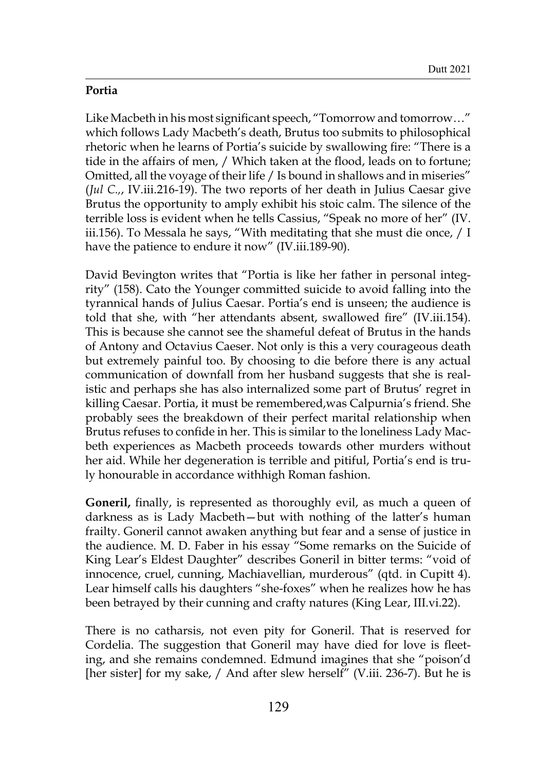# **Portia**

Like Macbeth in his most significant speech, "Tomorrow and tomorrow…" which follows Lady Macbeth's death, Brutus too submits to philosophical rhetoric when he learns of Portia's suicide by swallowing fire: "There is a tide in the affairs of men, / Which taken at the flood, leads on to fortune; Omitted, all the voyage of their life / Is bound in shallows and in miseries" (*Jul C.,*, IV.iii.216-19). The two reports of her death in Julius Caesar give Brutus the opportunity to amply exhibit his stoic calm. The silence of the terrible loss is evident when he tells Cassius, "Speak no more of her" (IV. iii.156). To Messala he says, "With meditating that she must die once, / I have the patience to endure it now" (IV.iii.189-90).

David Bevington writes that "Portia is like her father in personal integrity" (158). Cato the Younger committed suicide to avoid falling into the tyrannical hands of Julius Caesar. Portia's end is unseen; the audience is told that she, with "her attendants absent, swallowed fire" (IV.iii.154). This is because she cannot see the shameful defeat of Brutus in the hands of Antony and Octavius Caeser. Not only is this a very courageous death but extremely painful too. By choosing to die before there is any actual communication of downfall from her husband suggests that she is realistic and perhaps she has also internalized some part of Brutus' regret in killing Caesar. Portia, it must be remembered,was Calpurnia's friend. She probably sees the breakdown of their perfect marital relationship when Brutus refuses to confide in her. This is similar to the loneliness Lady Macbeth experiences as Macbeth proceeds towards other murders without her aid. While her degeneration is terrible and pitiful, Portia's end is truly honourable in accordance withhigh Roman fashion.

**Goneril,** finally, is represented as thoroughly evil, as much a queen of darkness as is Lady Macbeth—but with nothing of the latter's human frailty. Goneril cannot awaken anything but fear and a sense of justice in the audience. M. D. Faber in his essay "Some remarks on the Suicide of King Lear's Eldest Daughter" describes Goneril in bitter terms: "void of innocence, cruel, cunning, Machiavellian, murderous" (qtd. in Cupitt 4). Lear himself calls his daughters "she-foxes" when he realizes how he has been betrayed by their cunning and crafty natures (King Lear, III.vi.22).

There is no catharsis, not even pity for Goneril. That is reserved for Cordelia. The suggestion that Goneril may have died for love is fleeting, and she remains condemned. Edmund imagines that she "poison'd [her sister] for my sake, / And after slew herself" (V.iii. 236-7). But he is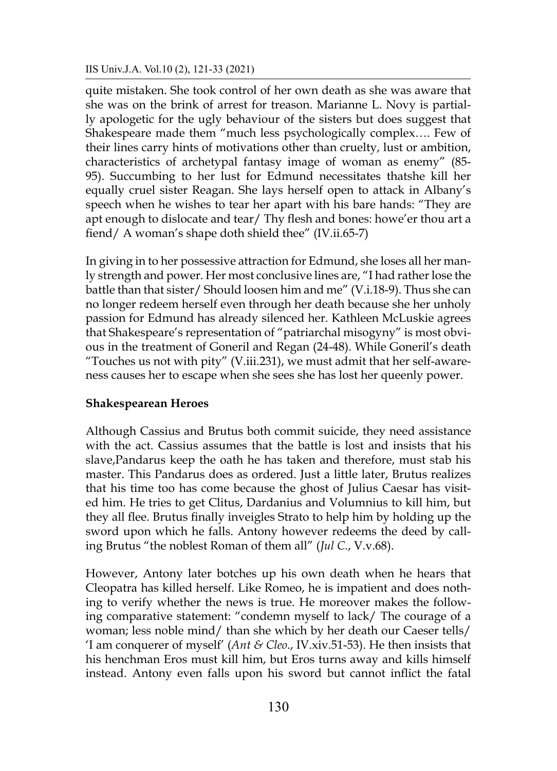quite mistaken. She took control of her own death as she was aware that she was on the brink of arrest for treason. Marianne L. Novy is partially apologetic for the ugly behaviour of the sisters but does suggest that Shakespeare made them "much less psychologically complex…. Few of their lines carry hints of motivations other than cruelty, lust or ambition, characteristics of archetypal fantasy image of woman as enemy" (85- 95). Succumbing to her lust for Edmund necessitates thatshe kill her equally cruel sister Reagan. She lays herself open to attack in Albany's speech when he wishes to tear her apart with his bare hands: "They are apt enough to dislocate and tear/ Thy flesh and bones: howe'er thou art a fiend/ A woman's shape doth shield thee" (IV.ii.65-7)

In giving in to her possessive attraction for Edmund, she loses all her manly strength and power. Her most conclusive lines are, "I had rather lose the battle than that sister/ Should loosen him and me" (V.i.18-9). Thus she can no longer redeem herself even through her death because she her unholy passion for Edmund has already silenced her. Kathleen McLuskie agrees that Shakespeare's representation of "patriarchal misogyny" is most obvious in the treatment of Goneril and Regan (24-48). While Goneril's death "Touches us not with pity" (V.iii.231), we must admit that her self-awareness causes her to escape when she sees she has lost her queenly power.

#### **Shakespearean Heroes**

Although Cassius and Brutus both commit suicide, they need assistance with the act. Cassius assumes that the battle is lost and insists that his slave,Pandarus keep the oath he has taken and therefore, must stab his master. This Pandarus does as ordered. Just a little later, Brutus realizes that his time too has come because the ghost of Julius Caesar has visited him. He tries to get Clitus, Dardanius and Volumnius to kill him, but they all flee. Brutus finally inveigles Strato to help him by holding up the sword upon which he falls. Antony however redeems the deed by calling Brutus "the noblest Roman of them all" (*Jul C.*, V.v.68).

However, Antony later botches up his own death when he hears that Cleopatra has killed herself. Like Romeo, he is impatient and does nothing to verify whether the news is true. He moreover makes the following comparative statement: "condemn myself to lack/ The courage of a woman; less noble mind/ than she which by her death our Caeser tells/ 'I am conquerer of myself' (*Ant & Cleo*., IV.xiv.51-53). He then insists that his henchman Eros must kill him, but Eros turns away and kills himself instead. Antony even falls upon his sword but cannot inflict the fatal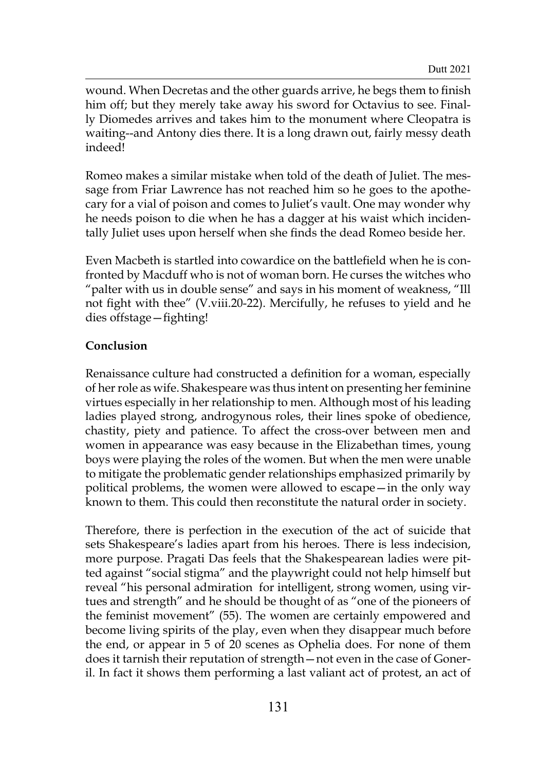wound. When Decretas and the other guards arrive, he begs them to finish him off; but they merely take away his sword for Octavius to see. Finally Diomedes arrives and takes him to the monument where Cleopatra is waiting--and Antony dies there. It is a long drawn out, fairly messy death indeed!

Romeo makes a similar mistake when told of the death of Juliet. The message from Friar Lawrence has not reached him so he goes to the apothecary for a vial of poison and comes to Juliet's vault. One may wonder why he needs poison to die when he has a dagger at his waist which incidentally Juliet uses upon herself when she finds the dead Romeo beside her.

Even Macbeth is startled into cowardice on the battlefield when he is confronted by Macduff who is not of woman born. He curses the witches who "palter with us in double sense" and says in his moment of weakness, "Ill not fight with thee" (V.viii.20-22). Mercifully, he refuses to yield and he dies offstage—fighting!

# **Conclusion**

Renaissance culture had constructed a definition for a woman, especially of her role as wife. Shakespeare was thus intent on presenting her feminine virtues especially in her relationship to men. Although most of his leading ladies played strong, androgynous roles, their lines spoke of obedience, chastity, piety and patience. To affect the cross-over between men and women in appearance was easy because in the Elizabethan times, young boys were playing the roles of the women. But when the men were unable to mitigate the problematic gender relationships emphasized primarily by political problems, the women were allowed to escape—in the only way known to them. This could then reconstitute the natural order in society.

Therefore, there is perfection in the execution of the act of suicide that sets Shakespeare's ladies apart from his heroes. There is less indecision, more purpose. Pragati Das feels that the Shakespearean ladies were pitted against "social stigma" and the playwright could not help himself but reveal "his personal admiration for intelligent, strong women, using virtues and strength" and he should be thought of as "one of the pioneers of the feminist movement" (55). The women are certainly empowered and become living spirits of the play, even when they disappear much before the end, or appear in 5 of 20 scenes as Ophelia does. For none of them does it tarnish their reputation of strength—not even in the case of Goneril. In fact it shows them performing a last valiant act of protest, an act of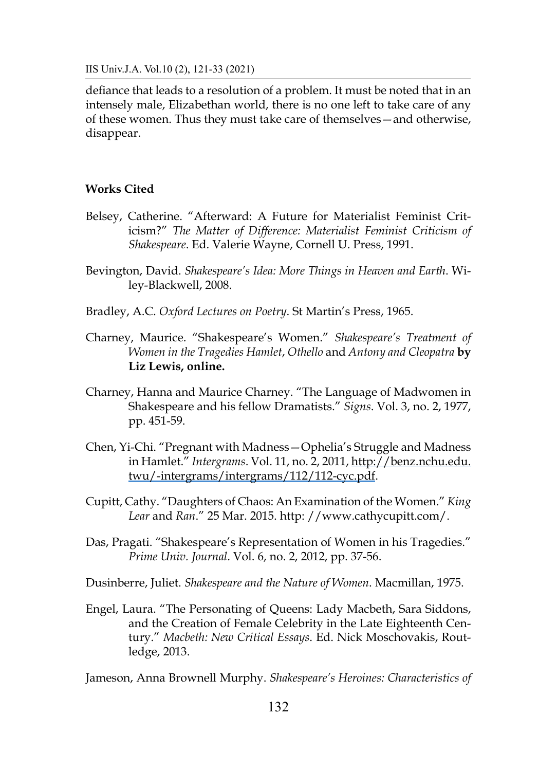defiance that leads to a resolution of a problem. It must be noted that in an intensely male, Elizabethan world, there is no one left to take care of any of these women. Thus they must take care of themselves—and otherwise, disappear.

#### **Works Cited**

- Belsey, Catherine. "Afterward: A Future for Materialist Feminist Criticism?" *The Matter of Difference: Materialist Feminist Criticism of Shakespeare*. Ed. Valerie Wayne, Cornell U. Press, 1991.
- Bevington, David. *Shakespeare's Idea: More Things in Heaven and Earth*. Wiley-Blackwell, 2008.
- Bradley, A.C. *Oxford Lectures on Poetry*. St Martin's Press, 1965.
- Charney, Maurice. "Shakespeare's Women." *Shakespeare's Treatment of Women in the Tragedies Hamlet*, *Othello* and *Antony and Cleopatra* **by Liz Lewis, online.**
- Charney, Hanna and Maurice Charney. "The Language of Madwomen in Shakespeare and his fellow Dramatists." *Signs*. Vol. 3, no. 2, 1977, pp. 451-59.
- Chen, Yi-Chi. "Pregnant with Madness—Ophelia's Struggle and Madness in Hamlet." *Intergrams*. Vol. 11, no. 2, 2011, [http://benz.nchu.edu.](http://benz.nchu.edu.twu/-intergrams/intergrams/112/112-cyc.pdf) [twu/-intergrams/intergrams/112/112-cyc.pdf.](http://benz.nchu.edu.twu/-intergrams/intergrams/112/112-cyc.pdf)
- Cupitt, Cathy. "Daughters of Chaos: An Examination of the Women." *King Lear* and *Ran*." 25 Mar. 2015. http: //www.cathycupitt.com/.
- Das, Pragati. "Shakespeare's Representation of Women in his Tragedies." *Prime Univ. Journal*. Vol. 6, no. 2, 2012, pp. 37-56.

Dusinberre, Juliet. *Shakespeare and the Nature of Women*. Macmillan, 1975.

Engel, Laura. "The Personating of Queens: Lady Macbeth, Sara Siddons, and the Creation of Female Celebrity in the Late Eighteenth Century." *Macbeth: New Critical Essays*. Ed. Nick Moschovakis, Routledge, 2013.

Jameson, Anna Brownell Murphy. *Shakespeare's Heroines: Characteristics of*